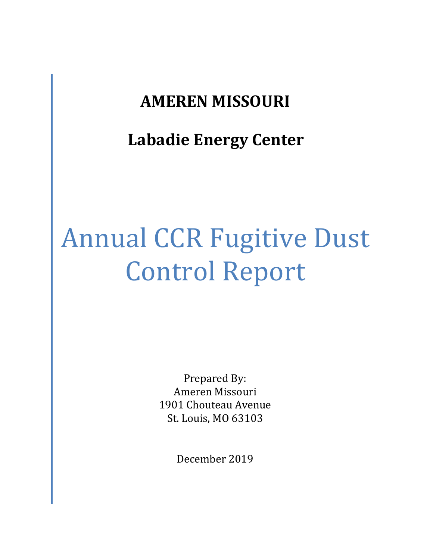# **AMEREN MISSOURI**

# **Labadie Energy Center**

# Annual CCR Fugitive Dust Control Report

Prepared By: Ameren Missouri 1901 Chouteau Avenue St. Louis, MO 63103

December 2019